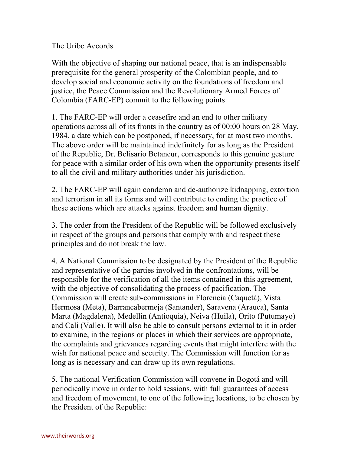## The Uribe Accords

With the objective of shaping our national peace, that is an indispensable prerequisite for the general prosperity of the Colombian people, and to develop social and economic activity on the foundations of freedom and justice, the Peace Commission and the Revolutionary Armed Forces of Colombia (FARC-EP) commit to the following points:

1. The FARC-EP will order a ceasefire and an end to other military operations across all of its fronts in the country as of 00:00 hours on 28 May, 1984, a date which can be postponed, if necessary, for at most two months. The above order will be maintained indefinitely for as long as the President of the Republic, Dr. Belisario Betancur, corresponds to this genuine gesture for peace with a similar order of his own when the opportunity presents itself to all the civil and military authorities under his jurisdiction.

2. The FARC-EP will again condemn and de-authorize kidnapping, extortion and terrorism in all its forms and will contribute to ending the practice of these actions which are attacks against freedom and human dignity.

3. The order from the President of the Republic will be followed exclusively in respect of the groups and persons that comply with and respect these principles and do not break the law.

4. A National Commission to be designated by the President of the Republic and representative of the parties involved in the confrontations, will be responsible for the verification of all the items contained in this agreement, with the objective of consolidating the process of pacification. The Commission will create sub-commissions in Florencia (Caquetá), Vista Hermosa (Meta), Barrancabermeja (Santander), Saravena (Arauca), Santa Marta (Magdalena), Medellín (Antioquia), Neiva (Huila), Orito (Putumayo) and Cali (Valle). It will also be able to consult persons external to it in order to examine, in the regions or places in which their services are appropriate, the complaints and grievances regarding events that might interfere with the wish for national peace and security. The Commission will function for as long as is necessary and can draw up its own regulations.

5. The national Verification Commission will convene in Bogotá and will periodically move in order to hold sessions, with full guarantees of access and freedom of movement, to one of the following locations, to be chosen by the President of the Republic: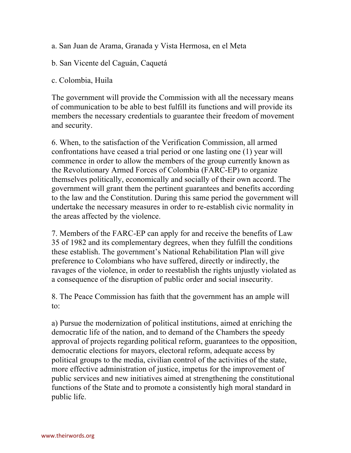- a. San Juan de Arama, Granada y Vista Hermosa, en el Meta
- b. San Vicente del Caguán, Caquetá

## c. Colombia, Huila

The government will provide the Commission with all the necessary means of communication to be able to best fulfill its functions and will provide its members the necessary credentials to guarantee their freedom of movement and security.

6. When, to the satisfaction of the Verification Commission, all armed confrontations have ceased a trial period or one lasting one (1) year will commence in order to allow the members of the group currently known as the Revolutionary Armed Forces of Colombia (FARC-EP) to organize themselves politically, economically and socially of their own accord. The government will grant them the pertinent guarantees and benefits according to the law and the Constitution. During this same period the government will undertake the necessary measures in order to re-establish civic normality in the areas affected by the violence.

7. Members of the FARC-EP can apply for and receive the benefits of Law 35 of 1982 and its complementary degrees, when they fulfill the conditions these establish. The government's National Rehabilitation Plan will give preference to Colombians who have suffered, directly or indirectly, the ravages of the violence, in order to reestablish the rights unjustly violated as a consequence of the disruption of public order and social insecurity.

8. The Peace Commission has faith that the government has an ample will to:

a) Pursue the modernization of political institutions, aimed at enriching the democratic life of the nation, and to demand of the Chambers the speedy approval of projects regarding political reform, guarantees to the opposition, democratic elections for mayors, electoral reform, adequate access by political groups to the media, civilian control of the activities of the state, more effective administration of justice, impetus for the improvement of public services and new initiatives aimed at strengthening the constitutional functions of the State and to promote a consistently high moral standard in public life.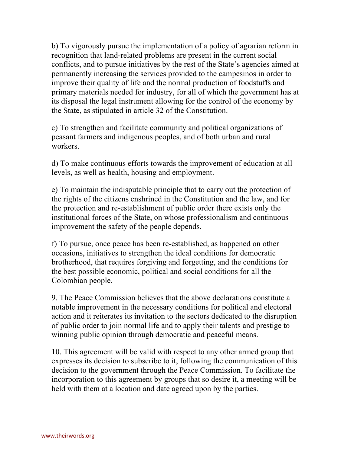b) To vigorously pursue the implementation of a policy of agrarian reform in recognition that land-related problems are present in the current social conflicts, and to pursue initiatives by the rest of the State's agencies aimed at permanently increasing the services provided to the campesinos in order to improve their quality of life and the normal production of foodstuffs and primary materials needed for industry, for all of which the government has at its disposal the legal instrument allowing for the control of the economy by the State, as stipulated in article 32 of the Constitution.

c) To strengthen and facilitate community and political organizations of peasant farmers and indigenous peoples, and of both urban and rural workers.

d) To make continuous efforts towards the improvement of education at all levels, as well as health, housing and employment.

e) To maintain the indisputable principle that to carry out the protection of the rights of the citizens enshrined in the Constitution and the law, and for the protection and re-establishment of public order there exists only the institutional forces of the State, on whose professionalism and continuous improvement the safety of the people depends.

f) To pursue, once peace has been re-established, as happened on other occasions, initiatives to strengthen the ideal conditions for democratic brotherhood, that requires forgiving and forgetting, and the conditions for the best possible economic, political and social conditions for all the Colombian people.

9. The Peace Commission believes that the above declarations constitute a notable improvement in the necessary conditions for political and electoral action and it reiterates its invitation to the sectors dedicated to the disruption of public order to join normal life and to apply their talents and prestige to winning public opinion through democratic and peaceful means.

10. This agreement will be valid with respect to any other armed group that expresses its decision to subscribe to it, following the communication of this decision to the government through the Peace Commission. To facilitate the incorporation to this agreement by groups that so desire it, a meeting will be held with them at a location and date agreed upon by the parties.